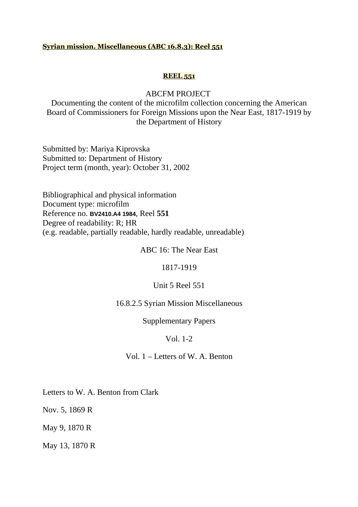## **Syrian mission. Miscellaneous (ABC 16.8.3): Reel 551**

## **REEL 551**

## ABCFM PROJECT

Documenting the content of the microfilm collection concerning the American Board of Commissioners for Foreign Missions upon the Near East, 1817-1919 by the Department of History

Submitted by: Mariya Kiprovska Submitted to: Department of History Project term (month, year): October 31, 2002

Bibliographical and physical information Document type: microfilm Reference no. **BV2410.A4 1984**, Reel **551** Degree of readability: R; HR (e.g. readable, partially readable, hardly readable, unreadable)

ABC 16: The Near East

1817-1919

Unit 5 Reel 551

16.8.2.5 Syrian Mission Miscellaneous

Supplementary Papers

## Vol. 1-2

Vol. 1 – Letters of W. A. Benton

Letters to W. A. Benton from Clark

Nov. 5, 1869 R

May 9, 1870 R

May 13, 1870 R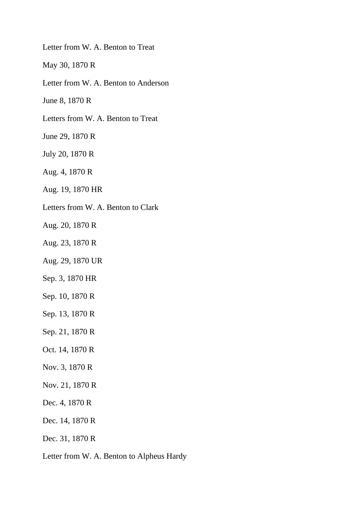Letter from W. A. Benton to Treat

May 30, 1870 R

Letter from W. A. Benton to Anderson

June 8, 1870 R

Letters from W. A. Benton to Treat

June 29, 1870 R

July 20, 1870 R

Aug. 4, 1870 R

Aug. 19, 1870 HR

Letters from W. A. Benton to Clark

Aug. 20, 1870 R

Aug. 23, 1870 R

Aug. 29, 1870 UR

Sep. 3, 1870 HR

Sep. 10, 1870 R

Sep. 13, 1870 R

Sep. 21, 1870 R

Oct. 14, 1870 R

Nov. 3, 1870 R

Nov. 21, 1870 R

Dec. 4, 1870 R

Dec. 14, 1870 R

Dec. 31, 1870 R

Letter from W. A. Benton to Alpheus Hardy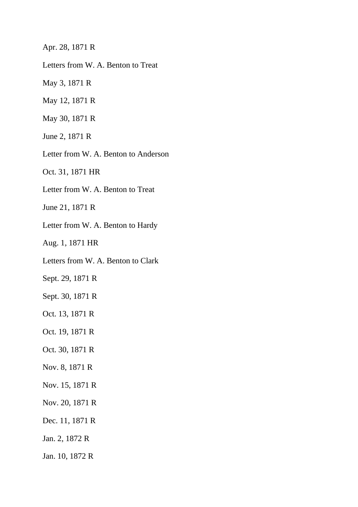Apr. 28, 1871 R

Letters from W. A. Benton to Treat

May 3, 1871 R

May 12, 1871 R

May 30, 1871 R

June 2, 1871 R

Letter from W. A. Benton to Anderson

Oct. 31, 1871 HR

Letter from W. A. Benton to Treat

June 21, 1871 R

Letter from W. A. Benton to Hardy

Aug. 1, 1871 HR

Letters from W. A. Benton to Clark

Sept. 29, 1871 R

Sept. 30, 1871 R

Oct. 13, 1871 R

Oct. 19, 1871 R

Oct. 30, 1871 R

Nov. 8, 1871 R

Nov. 15, 1871 R

Nov. 20, 1871 R

Dec. 11, 1871 R

Jan. 2, 1872 R

Jan. 10, 1872 R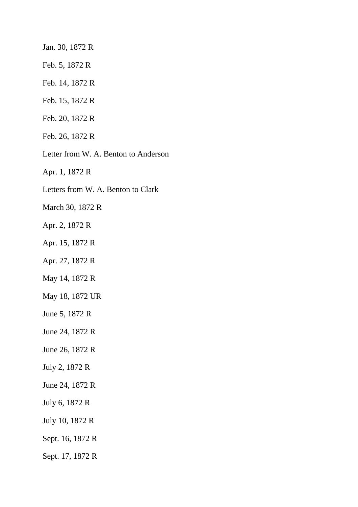Jan. 30, 1872 R

- Feb. 5, 1872 R
- Feb. 14, 1872 R
- Feb. 15, 1872 R
- Feb. 20, 1872 R
- Feb. 26, 1872 R
- Letter from W. A. Benton to Anderson

Apr. 1, 1872 R

Letters from W. A. Benton to Clark

March 30, 1872 R

- Apr. 2, 1872 R
- Apr. 15, 1872 R
- Apr. 27, 1872 R
- May 14, 1872 R
- May 18, 1872 UR
- June 5, 1872 R
- June 24, 1872 R
- June 26, 1872 R
- July 2, 1872 R
- June 24, 1872 R
- July 6, 1872 R
- July 10, 1872 R
- Sept. 16, 1872 R
- Sept. 17, 1872 R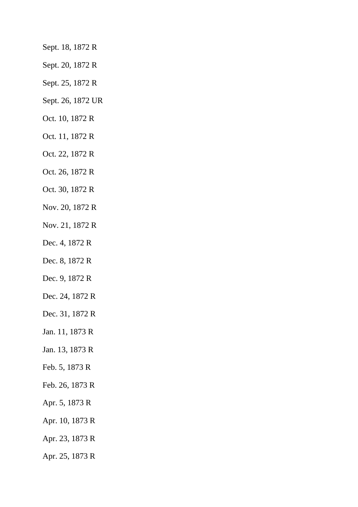- Sept. 18, 1872 R
- Sept. 20, 1872 R
- Sept. 25, 1872 R
- Sept. 26, 1872 UR
- Oct. 10, 1872 R
- Oct. 11, 1872 R
- Oct. 22, 1872 R
- Oct. 26, 1872 R
- Oct. 30, 1872 R
- Nov. 20, 1872 R
- Nov. 21, 1872 R
- Dec. 4, 1872 R
- Dec. 8, 1872 R
- Dec. 9, 1872 R
- Dec. 24, 1872 R
- Dec. 31, 1872 R
- Jan. 11, 1873 R
- Jan. 13, 1873 R
- Feb. 5, 1873 R
- Feb. 26, 1873 R
- Apr. 5, 1873 R
- Apr. 10, 1873 R
- Apr. 23, 1873 R
- Apr. 25, 1873 R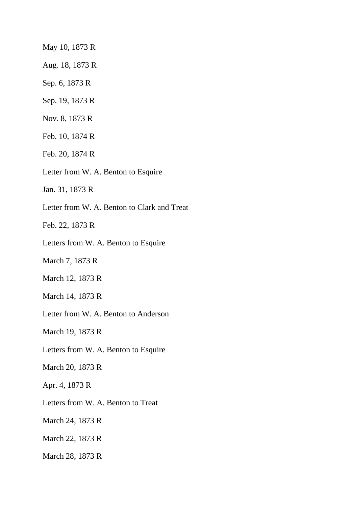May 10, 1873 R

Aug. 18, 1873 R

Sep. 6, 1873 R

Sep. 19, 1873 R

Nov. 8, 1873 R

Feb. 10, 1874 R

Feb. 20, 1874 R

Letter from W. A. Benton to Esquire

Jan. 31, 1873 R

Letter from W. A. Benton to Clark and Treat

Feb. 22, 1873 R

Letters from W. A. Benton to Esquire

March 7, 1873 R

March 12, 1873 R

March 14, 1873 R

Letter from W. A. Benton to Anderson

March 19, 1873 R

Letters from W. A. Benton to Esquire

March 20, 1873 R

Apr. 4, 1873 R

Letters from W. A. Benton to Treat

March 24, 1873 R

March 22, 1873 R

March 28, 1873 R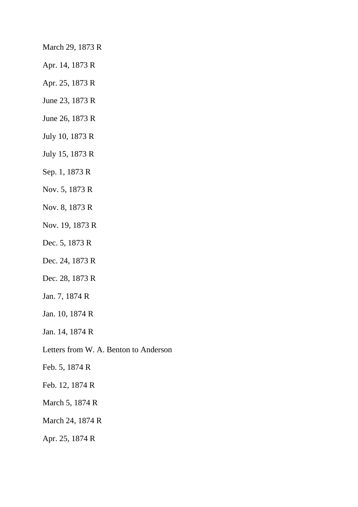March 29, 1873 R

- Apr. 14, 1873 R
- Apr. 25, 1873 R
- June 23, 1873 R
- June 26, 1873 R
- July 10, 1873 R
- July 15, 1873 R
- Sep. 1, 1873 R
- Nov. 5, 1873 R
- Nov. 8, 1873 R
- Nov. 19, 1873 R
- Dec. 5, 1873 R
- Dec. 24, 1873 R
- Dec. 28, 1873 R
- Jan. 7, 1874 R
- Jan. 10, 1874 R
- Jan. 14, 1874 R
- Letters from W. A. Benton to Anderson
- Feb. 5, 1874 R
- Feb. 12, 1874 R
- March 5, 1874 R
- March 24, 1874 R
- Apr. 25, 1874 R